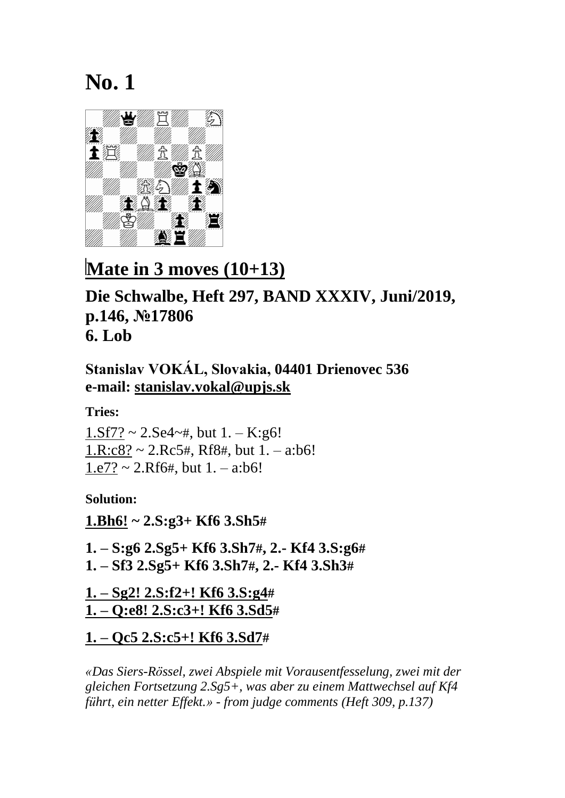

## **Mate in 3 moves (10+13)**

#### **Die Schwalbe, Heft 297, BAND XXXIV, Juni/2019, p.146, №17806 6. Lob**

**Stanislav VOKÁL, Slovakia, 04401 Drienovec 536 e-mail: [stanislav.vokal@upjs.sk](mailto:stanislav.vokal@upjs.sk)**

**Tries:**

 $1.$ Sf7? ~  $2.$ Se4~#, but  $1.$  - K:g6!  $1.R: c8? \sim 2.Rc5#$ . Rf8#, but  $1.-a:b6!$  $1.e7? \sim 2.Rf6#$ , but  $1.-a:b6!$ 

**Solution:**

**1.Bh6! ~ 2.S:g3+ Kf6 3.Sh5#**

**1. – S:g6 2.Sg5+ Kf6 3.Sh7#, 2.- Kf4 3.S:g6# 1. – Sf3 2.Sg5+ Kf6 3.Sh7#, 2.- Kf4 3.Sh3#**

**1. – Sg2! 2.S:f2+! Kf6 3.S:g4# 1. – Q:e8! 2.S:c3+! Kf6 3.Sd5#**

**1. – Qc5 2.S:c5+! Kf6 3.Sd7#**

*«Das Siers-Rössel, zwei Abspiele mit Vorausentfesselung, zwei mit der gleichen Fortsetzung 2.Sg5+, was aber zu einem Mattwechsel auf Kf4 führt, ein netter Effekt.» - from judge comments (Heft 309, p.137)*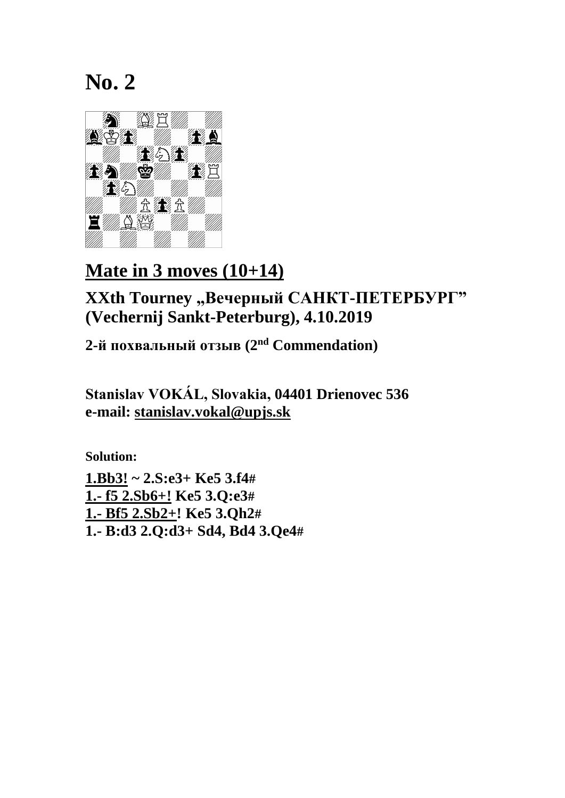

## **Mate in 3 moves (10+14)**

**XXth Tourney "Вечерный САНКТ-ПЕТЕРБУРГ" (Vechernij Sankt-Peterburg), 4.10.2019**

**2-й похвальный отзыв (2 nd Commendation)**

**Stanislav VOKÁL, Slovakia, 04401 Drienovec 536 e-mail: [stanislav.vokal@upjs.sk](mailto:stanislav.vokal@upjs.sk)**

**Solution: 1.Bb3! ~ 2.S:e3+ Ke5 3.f4# 1.- f5 2.Sb6+! Ke5 3.Q:e3# 1.- Bf5 2.Sb2+! Ke5 3.Qh2# 1.- B:d3 2.Q:d3+ Sd4, Bd4 3.Qe4#**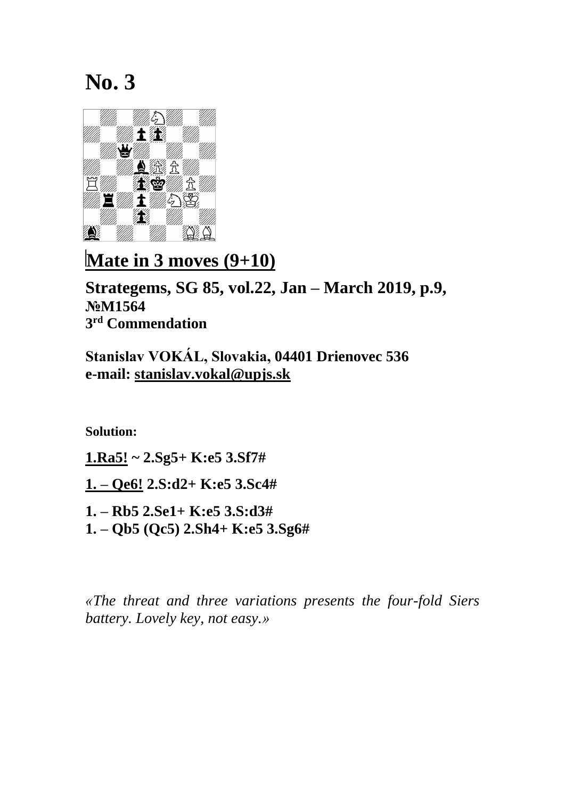

**Mate in 3 moves (9+10)** 

**Strategems, SG 85, vol.22, Jan – March 2019, p.9, №M1564 3 rd Commendation**

**Stanislav VOKÁL, Slovakia, 04401 Drienovec 536 e-mail: [stanislav.vokal@upjs.sk](mailto:stanislav.vokal@upjs.sk)**

**Solution:**

**1.Ra5! ~ 2.Sg5+ K:e5 3.Sf7#**

**1. – Qe6! 2.S:d2+ K:e5 3.Sc4#**

**1. – Rb5 2.Se1+ K:e5 3.S:d3#**

**1. – Qb5 (Qc5) 2.Sh4+ K:e5 3.Sg6#**

*«The threat and three variations presents the four-fold Siers battery. Lovely key, not easy.»*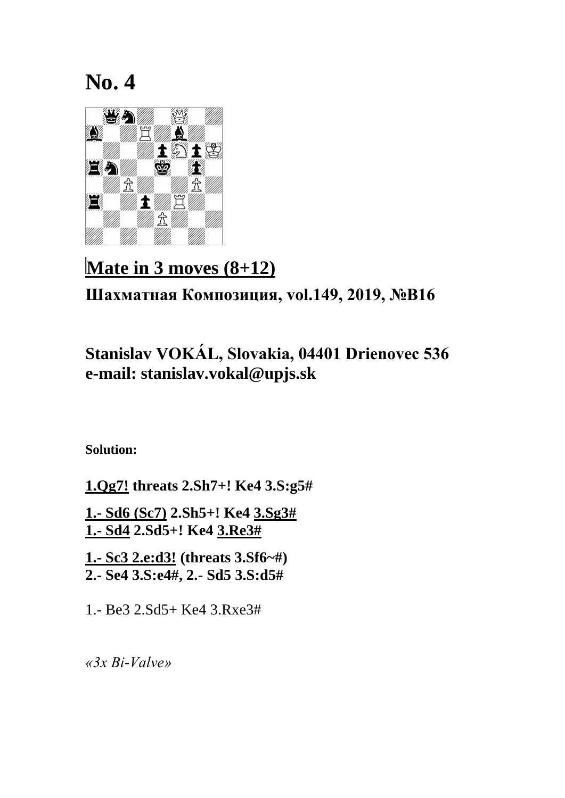

# **Mate in 3 moves (8+12) Шахматная Композиция, vol.149, 2019, №B16**

### **Stanislav VOKÁL, Slovakia, 04401 Drienovec 536 e-mail: stanislav.vokal@upjs.sk**

**Solution:**

**1.Qg7! threats 2.Sh7+! Ke4 3.S:g5# 1.- Sd6 (Sc7) 2.Sh5+! Ke4 3.Sg3# 1.- Sd4 2.Sd5+! Ke4 3.Re3# 1.- Sc3 2.e:d3! (threats 3.Sf6~#) 2.- Se4 3.S:e4#, 2.- Sd5 3.S:d5#**

1.- Be3 2.Sd5+ Ke4 3.Rxe3#

*«3x Bi-Valve»*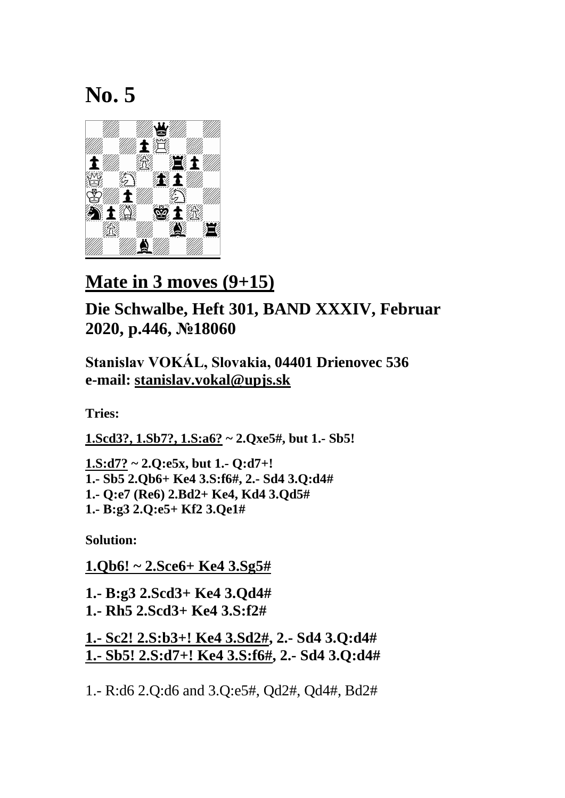

### **Mate in 3 moves (9+15)**

#### **Die Schwalbe, Heft 301, BAND XXXIV, Februar 2020, p.446, №18060**

**Stanislav VOKÁL, Slovakia, 04401 Drienovec 536 e-mail: [stanislav.vokal@upjs.sk](mailto:stanislav.vokal@upjs.sk)**

**Tries:**

**1.Scd3?, 1.Sb7?, 1.S:a6? ~ 2.Qxe5#, but 1.- Sb5!**

**1.S:d7? ~ 2.Q:e5x, but 1.- Q:d7+! 1.- Sb5 2.Qb6+ Ke4 3.S:f6#, 2.- Sd4 3.Q:d4# 1.- Q:e7 (Re6) 2.Bd2+ Ke4, Kd4 3.Qd5# 1.- B:g3 2.Q:e5+ Kf2 3.Qe1#**

**Solution:**

**1.Qb6! ~ 2.Sce6+ Ke4 3.Sg5#**

**1.- B:g3 2.Scd3+ Ke4 3.Qd4# 1.- Rh5 2.Scd3+ Ke4 3.S:f2#**

**1.- Sc2! 2.S:b3+! Ke4 3.Sd2#, 2.- Sd4 3.Q:d4# 1.- Sb5! 2.S:d7+! Ke4 3.S:f6#, 2.- Sd4 3.Q:d4#**

1.- R:d6 2.Q:d6 and 3.Q:e5#, Qd2#, Qd4#, Bd2#